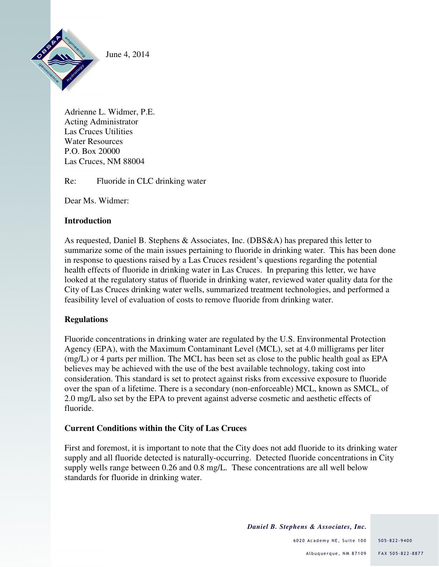

June 4, 2014

Adrienne L. Widmer, P.E. Acting Administrator Las Cruces Utilities Water Resources P.O. Box 20000 Las Cruces, NM 88004

Re: Fluoride in CLC drinking water

Dear Ms. Widmer:

# **Introduction**

As requested, Daniel B. Stephens & Associates, Inc. (DBS&A) has prepared this letter to summarize some of the main issues pertaining to fluoride in drinking water. This has been done in response to questions raised by a Las Cruces resident's questions regarding the potential health effects of fluoride in drinking water in Las Cruces. In preparing this letter, we have looked at the regulatory status of fluoride in drinking water, reviewed water quality data for the City of Las Cruces drinking water wells, summarized treatment technologies, and performed a feasibility level of evaluation of costs to remove fluoride from drinking water.

# **Regulations**

Fluoride concentrations in drinking water are regulated by the U.S. Environmental Protection Agency (EPA), with the Maximum Contaminant Level (MCL), set at 4.0 milligrams per liter (mg/L) or 4 parts per million. The MCL has been set as close to the public health goal as EPA believes may be achieved with the use of the best available technology, taking cost into consideration. This standard is set to protect against risks from excessive exposure to fluoride over the span of a lifetime. There is a secondary (non-enforceable) MCL, known as SMCL, of 2.0 mg/L also set by the EPA to prevent against adverse cosmetic and aesthetic effects of fluoride.

### **Current Conditions within the City of Las Cruces**

First and foremost, it is important to note that the City does not add fluoride to its drinking water supply and all fluoride detected is naturally-occurring. Detected fluoride concentrations in City supply wells range between 0.26 and 0.8 mg/L. These concentrations are all well below standards for fluoride in drinking water.

*Daniel B. Stephens & Associates, Inc.*

6020 Academy NE, Suite 100 505-822-9400 Albuquerque, NM 87109 FAX 505-822-8877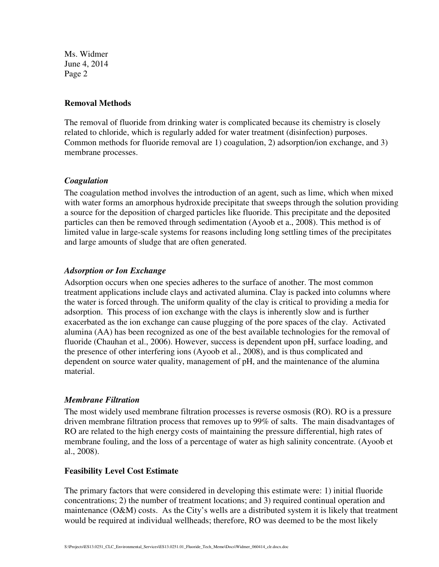Ms. Widmer June 4, 2014 Page 2

#### **Removal Methods**

The removal of fluoride from drinking water is complicated because its chemistry is closely related to chloride, which is regularly added for water treatment (disinfection) purposes. Common methods for fluoride removal are 1) coagulation, 2) adsorption/ion exchange, and 3) membrane processes.

### *Coagulation*

The coagulation method involves the introduction of an agent, such as lime, which when mixed with water forms an amorphous hydroxide precipitate that sweeps through the solution providing a source for the deposition of charged particles like fluoride. This precipitate and the deposited particles can then be removed through sedimentation (Ayoob et a., 2008). This method is of limited value in large-scale systems for reasons including long settling times of the precipitates and large amounts of sludge that are often generated.

### *Adsorption or Ion Exchange*

Adsorption occurs when one species adheres to the surface of another. The most common treatment applications include clays and activated alumina. Clay is packed into columns where the water is forced through. The uniform quality of the clay is critical to providing a media for adsorption. This process of ion exchange with the clays is inherently slow and is further exacerbated as the ion exchange can cause plugging of the pore spaces of the clay. Activated alumina (AA) has been recognized as one of the best available technologies for the removal of fluoride (Chauhan et al., 2006). However, success is dependent upon pH, surface loading, and the presence of other interfering ions (Ayoob et al., 2008), and is thus complicated and dependent on source water quality, management of pH, and the maintenance of the alumina material.

### *Membrane Filtration*

The most widely used membrane filtration processes is reverse osmosis (RO). RO is a pressure driven membrane filtration process that removes up to 99% of salts. The main disadvantages of RO are related to the high energy costs of maintaining the pressure differential, high rates of membrane fouling, and the loss of a percentage of water as high salinity concentrate. (Ayoob et al., 2008).

#### **Feasibility Level Cost Estimate**

The primary factors that were considered in developing this estimate were: 1) initial fluoride concentrations; 2) the number of treatment locations; and 3) required continual operation and maintenance ( $O\&M$ ) costs. As the City's wells are a distributed system it is likely that treatment would be required at individual wellheads; therefore, RO was deemed to be the most likely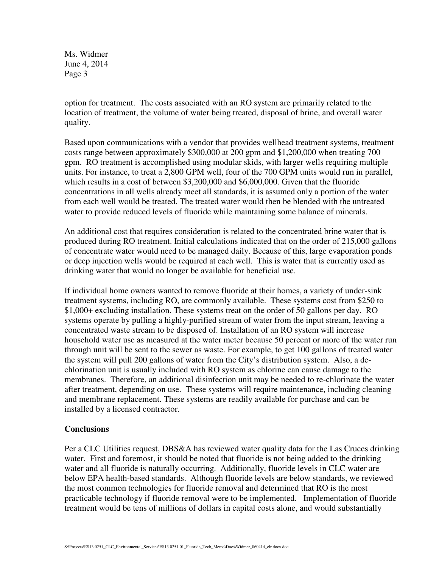Ms. Widmer June 4, 2014 Page 3

option for treatment. The costs associated with an RO system are primarily related to the location of treatment, the volume of water being treated, disposal of brine, and overall water quality.

Based upon communications with a vendor that provides wellhead treatment systems, treatment costs range between approximately \$300,000 at 200 gpm and \$1,200,000 when treating 700 gpm. RO treatment is accomplished using modular skids, with larger wells requiring multiple units. For instance, to treat a 2,800 GPM well, four of the 700 GPM units would run in parallel, which results in a cost of between \$3,200,000 and \$6,000,000. Given that the fluoride concentrations in all wells already meet all standards, it is assumed only a portion of the water from each well would be treated. The treated water would then be blended with the untreated water to provide reduced levels of fluoride while maintaining some balance of minerals.

An additional cost that requires consideration is related to the concentrated brine water that is produced during RO treatment. Initial calculations indicated that on the order of 215,000 gallons of concentrate water would need to be managed daily. Because of this, large evaporation ponds or deep injection wells would be required at each well. This is water that is currently used as drinking water that would no longer be available for beneficial use.

If individual home owners wanted to remove fluoride at their homes, a variety of under-sink treatment systems, including RO, are commonly available. These systems cost from \$250 to \$1,000+ excluding installation. These systems treat on the order of 50 gallons per day. RO systems operate by pulling a highly-purified stream of water from the input stream, leaving a concentrated waste stream to be disposed of. Installation of an RO system will increase household water use as measured at the water meter because 50 percent or more of the water run through unit will be sent to the sewer as waste. For example, to get 100 gallons of treated water the system will pull 200 gallons of water from the City's distribution system. Also, a dechlorination unit is usually included with RO system as chlorine can cause damage to the membranes. Therefore, an additional disinfection unit may be needed to re-chlorinate the water after treatment, depending on use. These systems will require maintenance, including cleaning and membrane replacement. These systems are readily available for purchase and can be installed by a licensed contractor.

### **Conclusions**

Per a CLC Utilities request, DBS&A has reviewed water quality data for the Las Cruces drinking water. First and foremost, it should be noted that fluoride is not being added to the drinking water and all fluoride is naturally occurring. Additionally, fluoride levels in CLC water are below EPA health-based standards. Although fluoride levels are below standards, we reviewed the most common technologies for fluoride removal and determined that RO is the most practicable technology if fluoride removal were to be implemented. Implementation of fluoride treatment would be tens of millions of dollars in capital costs alone, and would substantially